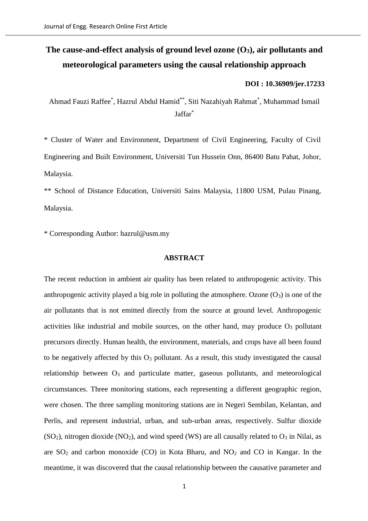# **The cause-and-effect analysis of ground level ozone (O3), air pollutants and meteorological parameters using the causal relationship approach**

## **DOI : [10.36909/jer.17233](https://doi.org/10.36909/jer.17233)**

Ahmad Fauzi Raffee\* , Hazrul Abdul Hamid\*\*, Siti Nazahiyah Rahmat\* , Muhammad Ismail Jaffar\*

\* Cluster of Water and Environment, Department of Civil Engineering, Faculty of Civil Engineering and Built Environment, Universiti Tun Hussein Onn, 86400 Batu Pahat, Johor, Malaysia.

\*\* School of Distance Education, Universiti Sains Malaysia, 11800 USM, Pulau Pinang, Malaysia.

\* Corresponding Author: hazrul@usm.my

## **ABSTRACT**

The recent reduction in ambient air quality has been related to anthropogenic activity. This anthropogenic activity played a big role in polluting the atmosphere. Ozone  $(O_3)$  is one of the air pollutants that is not emitted directly from the source at ground level. Anthropogenic activities like industrial and mobile sources, on the other hand, may produce O<sup>3</sup> pollutant precursors directly. Human health, the environment, materials, and crops have all been found to be negatively affected by this  $O_3$  pollutant. As a result, this study investigated the causal relationship between  $O_3$  and particulate matter, gaseous pollutants, and meteorological circumstances. Three monitoring stations, each representing a different geographic region, were chosen. The three sampling monitoring stations are in Negeri Sembilan, Kelantan, and Perlis, and represent industrial, urban, and sub-urban areas, respectively. Sulfur dioxide  $(SO<sub>2</sub>)$ , nitrogen dioxide  $(NO<sub>2</sub>)$ , and wind speed (WS) are all causally related to  $O<sub>3</sub>$  in Nilai, as are  $SO_2$  and carbon monoxide (CO) in Kota Bharu, and  $NO_2$  and CO in Kangar. In the meantime, it was discovered that the causal relationship between the causative parameter and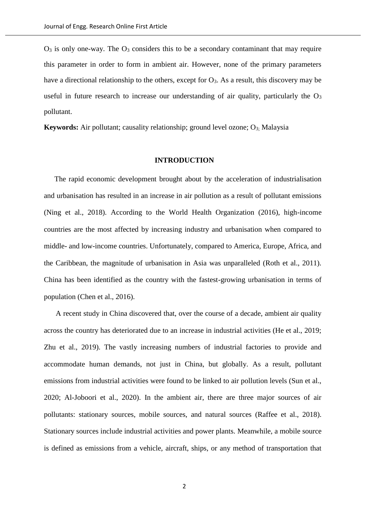$O_3$  is only one-way. The  $O_3$  considers this to be a secondary contaminant that may require this parameter in order to form in ambient air. However, none of the primary parameters have a directional relationship to the others, except for  $O_3$ . As a result, this discovery may be useful in future research to increase our understanding of air quality, particularly the  $O_3$ pollutant.

**Keywords:** Air pollutant; causality relationship; ground level ozone; O<sub>3;</sub> Malaysia

#### **INTRODUCTION**

The rapid economic development brought about by the acceleration of industrialisation and urbanisation has resulted in an increase in air pollution as a result of pollutant emissions (Ning et al., 2018). According to the World Health Organization (2016), high-income countries are the most affected by increasing industry and urbanisation when compared to middle- and low-income countries. Unfortunately, compared to America, Europe, Africa, and the Caribbean, the magnitude of urbanisation in Asia was unparalleled (Roth et al., 2011). China has been identified as the country with the fastest-growing urbanisation in terms of population (Chen et al., 2016).

A recent study in China discovered that, over the course of a decade, ambient air quality across the country has deteriorated due to an increase in industrial activities (He et al., 2019; Zhu et al., 2019). The vastly increasing numbers of industrial factories to provide and accommodate human demands, not just in China, but globally. As a result, pollutant emissions from industrial activities were found to be linked to air pollution levels (Sun et al., 2020; Al-Joboori et al., 2020). In the ambient air, there are three major sources of air pollutants: stationary sources, mobile sources, and natural sources (Raffee et al., 2018). Stationary sources include industrial activities and power plants. Meanwhile, a mobile source is defined as emissions from a vehicle, aircraft, ships, or any method of transportation that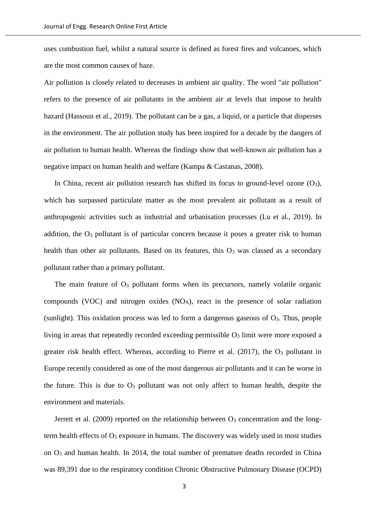uses combustion fuel, whilst a natural source is defined as forest fires and volcanoes, which are the most common causes of haze.

Air pollution is closely related to decreases in ambient air quality. The word "air pollution" refers to the presence of air pollutants in the ambient air at levels that impose to health hazard (Hassoun et al., 2019). The pollutant can be a gas, a liquid, or a particle that disperses in the environment. The air pollution study has been inspired for a decade by the dangers of air pollution to human health. Whereas the findings show that well-known air pollution has a negative impact on human health and welfare (Kampa & Castanas, 2008).

In China, recent air pollution research has shifted its focus to ground-level ozone  $(O_3)$ , which has surpassed particulate matter as the most prevalent air pollutant as a result of anthropogenic activities such as industrial and urbanisation processes (Lu et al., 2019). In addition, the  $O_3$  pollutant is of particular concern because it poses a greater risk to human health than other air pollutants. Based on its features, this  $O_3$  was classed as a secondary pollutant rather than a primary pollutant.

The main feature of  $O_3$  pollutant forms when its precursors, namely volatile organic compounds (VOC) and nitrogen oxides  $(NO<sub>X</sub>)$ , react in the presence of solar radiation (sunlight). This oxidation process was led to form a dangerous gaseous of  $O_3$ . Thus, people living in areas that repeatedly recorded exceeding permissible  $O<sub>3</sub>$  limit were more exposed a greater risk health effect. Whereas, according to Pierre et al. (2017), the O<sup>3</sup> pollutant in Europe recently considered as one of the most dangerous air pollutants and it can be worse in the future. This is due to  $O_3$  pollutant was not only affect to human health, despite the environment and materials.

Jerrett et al. (2009) reported on the relationship between  $O_3$  concentration and the longterm health effects of  $O_3$  exposure in humans. The discovery was widely used in most studies on O<sup>3</sup> and human health. In 2014, the total number of premature deaths recorded in China was 89,391 due to the respiratory condition Chronic Obstructive Pulmonary Disease (OCPD)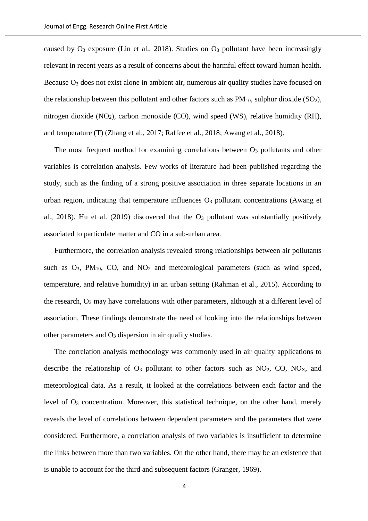caused by  $O_3$  exposure (Lin et al., 2018). Studies on  $O_3$  pollutant have been increasingly relevant in recent years as a result of concerns about the harmful effect toward human health. Because O<sub>3</sub> does not exist alone in ambient air, numerous air quality studies have focused on the relationship between this pollutant and other factors such as  $PM_{10}$ , sulphur dioxide (SO<sub>2</sub>), nitrogen dioxide (NO2), carbon monoxide (CO), wind speed (WS), relative humidity (RH), and temperature (T) (Zhang et al., 2017; Raffee et al., 2018; Awang et al., 2018).

The most frequent method for examining correlations between O<sub>3</sub> pollutants and other variables is correlation analysis. Few works of literature had been published regarding the study, such as the finding of a strong positive association in three separate locations in an urban region, indicating that temperature influences  $O<sub>3</sub>$  pollutant concentrations (Awang et al., 2018). Hu et al. (2019) discovered that the  $O_3$  pollutant was substantially positively associated to particulate matter and CO in a sub-urban area.

Furthermore, the correlation analysis revealed strong relationships between air pollutants such as  $O_3$ ,  $PM_{10}$ ,  $CO$ , and  $NO_2$  and meteorological parameters (such as wind speed, temperature, and relative humidity) in an urban setting (Rahman et al., 2015). According to the research,  $O_3$  may have correlations with other parameters, although at a different level of association. These findings demonstrate the need of looking into the relationships between other parameters and  $O_3$  dispersion in air quality studies.

The correlation analysis methodology was commonly used in air quality applications to describe the relationship of  $O_3$  pollutant to other factors such as  $NO_2$ ,  $CO$ ,  $NO_X$ , and meteorological data. As a result, it looked at the correlations between each factor and the level of  $O_3$  concentration. Moreover, this statistical technique, on the other hand, merely reveals the level of correlations between dependent parameters and the parameters that were considered. Furthermore, a correlation analysis of two variables is insufficient to determine the links between more than two variables. On the other hand, there may be an existence that is unable to account for the third and subsequent factors (Granger, 1969).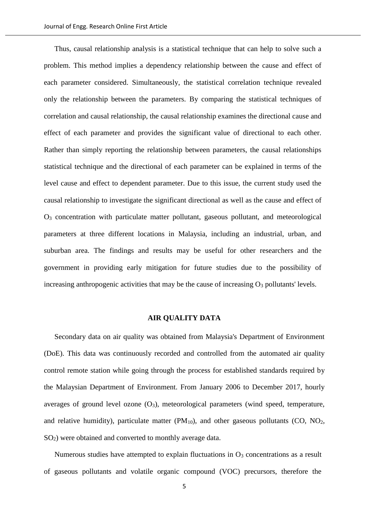Thus, causal relationship analysis is a statistical technique that can help to solve such a problem. This method implies a dependency relationship between the cause and effect of each parameter considered. Simultaneously, the statistical correlation technique revealed only the relationship between the parameters. By comparing the statistical techniques of correlation and causal relationship, the causal relationship examines the directional cause and effect of each parameter and provides the significant value of directional to each other. Rather than simply reporting the relationship between parameters, the causal relationships statistical technique and the directional of each parameter can be explained in terms of the level cause and effect to dependent parameter. Due to this issue, the current study used the causal relationship to investigate the significant directional as well as the cause and effect of O<sup>3</sup> concentration with particulate matter pollutant, gaseous pollutant, and meteorological parameters at three different locations in Malaysia, including an industrial, urban, and suburban area. The findings and results may be useful for other researchers and the government in providing early mitigation for future studies due to the possibility of increasing anthropogenic activities that may be the cause of increasing  $O_3$  pollutants' levels.

#### **AIR QUALITY DATA**

Secondary data on air quality was obtained from Malaysia's Department of Environment (DoE). This data was continuously recorded and controlled from the automated air quality control remote station while going through the process for established standards required by the Malaysian Department of Environment. From January 2006 to December 2017, hourly averages of ground level ozone  $(O_3)$ , meteorological parameters (wind speed, temperature, and relative humidity), particulate matter  $(PM_{10})$ , and other gaseous pollutants  $(CO, NO<sub>2</sub>)$ , SO2) were obtained and converted to monthly average data.

Numerous studies have attempted to explain fluctuations in  $O_3$  concentrations as a result of gaseous pollutants and volatile organic compound (VOC) precursors, therefore the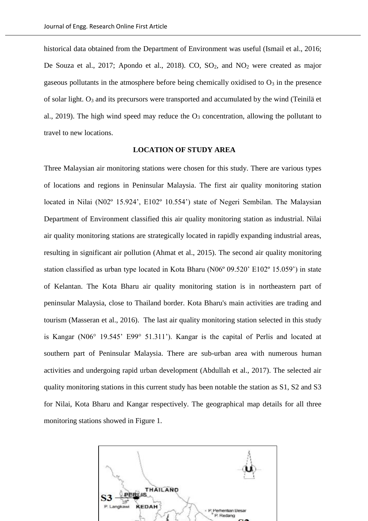historical data obtained from the Department of Environment was useful (Ismail et al., 2016; De Souza et al., 2017; Apondo et al., 2018). CO,  $SO_2$ , and  $NO_2$  were created as major gaseous pollutants in the atmosphere before being chemically oxidised to  $O<sub>3</sub>$  in the presence of solar light.  $O_3$  and its precursors were transported and accumulated by the wind (Teinilä et al., 2019). The high wind speed may reduce the  $O_3$  concentration, allowing the pollutant to travel to new locations.

### **LOCATION OF STUDY AREA**

Three Malaysian air monitoring stations were chosen for this study. There are various types of locations and regions in Peninsular Malaysia. The first air quality monitoring station located in Nilai (N02º 15.924', E102º 10.554') state of Negeri Sembilan. The Malaysian Department of Environment classified this air quality monitoring station as industrial. Nilai air quality monitoring stations are strategically located in rapidly expanding industrial areas, resulting in significant air pollution (Ahmat et al., 2015). The second air quality monitoring station classified as urban type located in Kota Bharu (N06º 09.520' E102º 15.059') in state of Kelantan. The Kota Bharu air quality monitoring station is in northeastern part of peninsular Malaysia, close to Thailand border. Kota Bharu's main activities are trading and tourism (Masseran et al., 2016). The last air quality monitoring station selected in this study is Kangar (N06° 19.545' E99° 51.311'). Kangar is the capital of Perlis and located at southern part of Peninsular Malaysia. There are sub-urban area with numerous human activities and undergoing rapid urban development (Abdullah et al., 2017). The selected air quality monitoring stations in this current study has been notable the station as S1, S2 and S3 for Nilai, Kota Bharu and Kangar respectively. The geographical map details for all three monitoring stations showed in Figure 1.

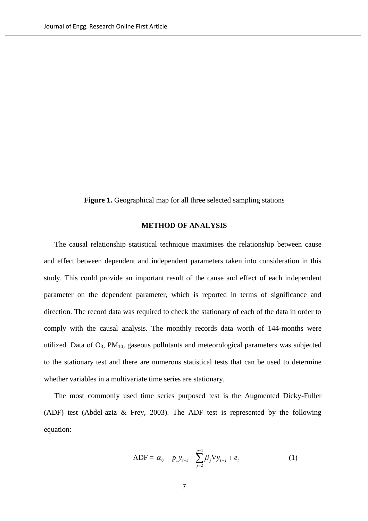Figure 1. Geographical map for all three selected sampling stations

## **METHOD OF ANALYSIS**

The causal relationship statistical technique maximises the relationship between cause and effect between dependent and independent parameters taken into consideration in this study. This could provide an important result of the cause and effect of each independent parameter on the dependent parameter, which is reported in terms of significance and direction. The record data was required to check the stationary of each of the data in order to comply with the causal analysis. The monthly records data worth of 144-months were utilized. Data of O3, PM10, gaseous pollutants and meteorological parameters was subjected to the stationary test and there are numerous statistical tests that can be used to determine whether variables in a multivariate time series are stationary.

The most commonly used time series purposed test is the Augmented Dicky-Fuller (ADF) test (Abdel-aziz & Frey, 2003). The ADF test is represented by the following equation:

$$
ADF = \alpha_0 + p_1 y_{t-1} + \sum_{j=2}^{p-1} \beta_j \nabla y_{t-j} + e_t
$$
 (1)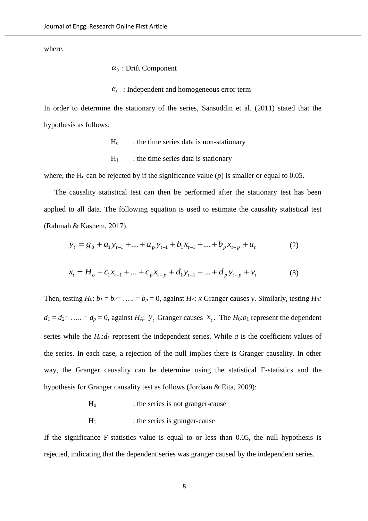where,

## $\alpha_0$ : Drift Component

: Independent and homogeneous error term *t e*

In order to determine the stationary of the series, Sansuddin et al. (2011) stated that the hypothesis as follows:

- $H<sub>o</sub>$  : the time series data is non-stationary
- $H_1$  : the time series data is stationary

where, the H<sub>o</sub> can be rejected by if the significance value  $(p)$  is smaller or equal to 0.05.

The causality statistical test can then be performed after the stationary test has been applied to all data. The following equation is used to estimate the causality statistical test (Rahmah & Kashem, 2017).

$$
y_t = g_0 + a_1 y_{t-1} + \dots + a_p y_{t-1} + b_1 x_{t-1} + \dots + b_p x_{t-p} + u_t
$$
 (2)

$$
x_{t} = H_{o} + c_{1}x_{t-1} + \dots + c_{p}x_{t-p} + d_{1}y_{t-1} + \dots + d_{p}y_{t-p} + v_{t}
$$
(3)

Then, testing  $H_0$ :  $b_1 = b_2 = \ldots = b_p = 0$ , against  $H_A$ : *x* Granger causes *y*. Similarly, testing  $H_0$ :  $d_1 = d_2 = \ldots = d_p = 0$ , against  $H_A$ :  $\mathcal{Y}_t$  Granger causes  $\mathcal{X}_t$ . The  $H_0: b_1$  represent the dependent series while the  $H_0: d_1$  represent the independent series. While *a* is the coefficient values of the series. In each case, a rejection of the null implies there is Granger causality. In other way, the Granger causality can be determine using the statistical F-statistics and the hypothesis for Granger causality test as follows (Jordaan & Eita, 2009):

- H<sub>o</sub> : the series is not granger-cause
- $H<sub>1</sub>$  : the series is granger-cause

If the significance F-statistics value is equal to or less than 0.05, the null hypothesis is rejected, indicating that the dependent series was granger caused by the independent series.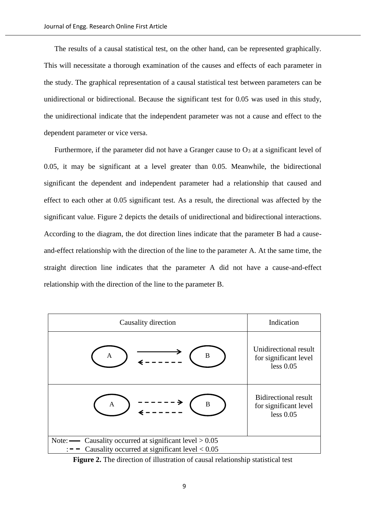The results of a causal statistical test, on the other hand, can be represented graphically. This will necessitate a thorough examination of the causes and effects of each parameter in the study. The graphical representation of a causal statistical test between parameters can be unidirectional or bidirectional. Because the significant test for 0.05 was used in this study, the unidirectional indicate that the independent parameter was not a cause and effect to the dependent parameter or vice versa.

Furthermore, if the parameter did not have a Granger cause to  $O_3$  at a significant level of 0.05, it may be significant at a level greater than 0.05. Meanwhile, the bidirectional significant the dependent and independent parameter had a relationship that caused and effect to each other at 0.05 significant test. As a result, the directional was affected by the significant value. Figure 2 depicts the details of unidirectional and bidirectional interactions. According to the diagram, the dot direction lines indicate that the parameter B had a causeand-effect relationship with the direction of the line to the parameter A. At the same time, the straight direction line indicates that the parameter A did not have a cause-and-effect relationship with the direction of the line to the parameter B.

| Causality direction                                                                                                   | Indication                                                        |
|-----------------------------------------------------------------------------------------------------------------------|-------------------------------------------------------------------|
| B<br>A                                                                                                                | Unidirectional result<br>for significant level<br>less 0.05       |
| B<br>A                                                                                                                | <b>Bidirectional result</b><br>for significant level<br>less 0.05 |
| Note: $\_\_\_\_$ Causality occurred at significant level $> 0.05$<br>Causality occurred at significant level $< 0.05$ |                                                                   |

**Figure 2.** The direction of illustration of causal relationship statistical test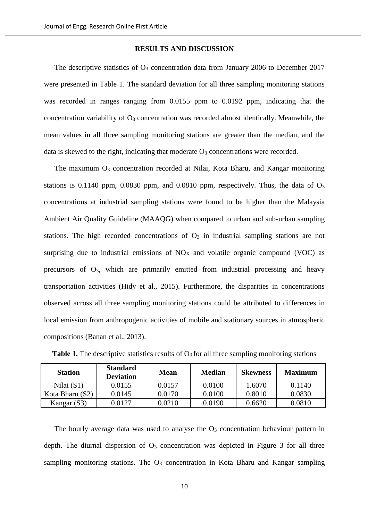#### **RESULTS AND DISCUSSION**

The descriptive statistics of  $O_3$  concentration data from January 2006 to December 2017 were presented in Table 1. The standard deviation for all three sampling monitoring stations was recorded in ranges ranging from 0.0155 ppm to 0.0192 ppm, indicating that the concentration variability of O<sup>3</sup> concentration was recorded almost identically. Meanwhile, the mean values in all three sampling monitoring stations are greater than the median, and the data is skewed to the right, indicating that moderate  $O_3$  concentrations were recorded.

The maximum O<sub>3</sub> concentration recorded at Nilai, Kota Bharu, and Kangar monitoring stations is  $0.1140$  ppm,  $0.0830$  ppm, and  $0.0810$  ppm, respectively. Thus, the data of  $O<sub>3</sub>$ concentrations at industrial sampling stations were found to be higher than the Malaysia Ambient Air Quality Guideline (MAAQG) when compared to urban and sub-urban sampling stations. The high recorded concentrations of  $O<sub>3</sub>$  in industrial sampling stations are not surprising due to industrial emissions of  $NO<sub>X</sub>$  and volatile organic compound (VOC) as precursors of  $O_3$ , which are primarily emitted from industrial processing and heavy transportation activities (Hidy et al., 2015). Furthermore, the disparities in concentrations observed across all three sampling monitoring stations could be attributed to differences in local emission from anthropogenic activities of mobile and stationary sources in atmospheric compositions (Banan et al., 2013).

| <b>Station</b>  | <b>Standard</b><br><b>Deviation</b> | <b>Mean</b> | <b>Median</b> | <b>Skewness</b> | <b>Maximum</b> |
|-----------------|-------------------------------------|-------------|---------------|-----------------|----------------|
| Nilai $(S1)$    | 0.0155                              | 0.0157      | 0.0100        | 1.6070          | 0.1140         |
| Kota Bharu (S2) | 0.0145                              | 0.0170      | 0.0100        | 0.8010          | 0.0830         |
| Kangar (S3)     | 0.0127                              | 0.0210      | 0.0190        | 0.6620          | 0.0810         |

**Table 1.** The descriptive statistics results of  $O_3$  for all three sampling monitoring stations

The hourly average data was used to analyse the  $O<sub>3</sub>$  concentration behaviour pattern in depth. The diurnal dispersion of  $O_3$  concentration was depicted in Figure 3 for all three sampling monitoring stations. The  $O_3$  concentration in Kota Bharu and Kangar sampling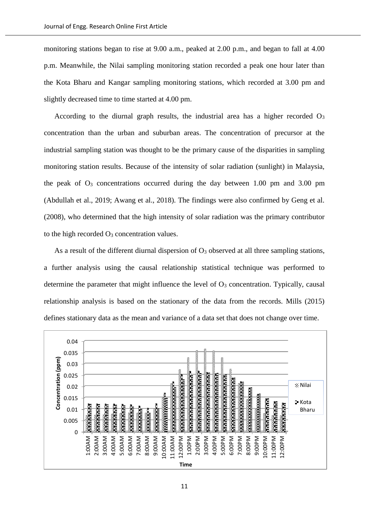monitoring stations began to rise at 9.00 a.m., peaked at 2.00 p.m., and began to fall at 4.00 p.m. Meanwhile, the Nilai sampling monitoring station recorded a peak one hour later than the Kota Bharu and Kangar sampling monitoring stations, which recorded at 3.00 pm and slightly decreased time to time started at 4.00 pm.

According to the diurnal graph results, the industrial area has a higher recorded  $\mathbf{O}_3$ concentration than the urban and suburban areas. The concentration of precursor at the industrial sampling station was thought to be the primary cause of the disparities in sampling monitoring station results. Because of the intensity of solar radiation (sunlight) in Malaysia, the peak of  $O_3$  concentrations occurred during the day between 1.00 pm and 3.00 pm (Abdullah et al., 2019; Awang et al., 2018). The findings were also confirmed by Geng et al. (2008), who determined that the high intensity of solar radiation was the primary contributor to the high recorded  $O_3$  concentration values.

As a result of the different diurnal dispersion of  $O_3$  observed at all three sampling stations, a further analysis using the causal relationship statistical technique was performed to determine the parameter that might influence the level of  $O_3$  concentration. Typically, causal relationship analysis is based on the stationary of the data from the records. Mills (2015) defines stationary data as the mean and variance of a data set that does not change over time.

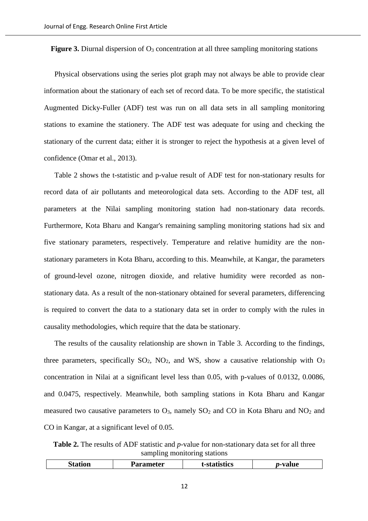**Figure 3.** Diurnal dispersion of O<sub>3</sub> concentration at all three sampling monitoring stations

Physical observations using the series plot graph may not always be able to provide clear information about the stationary of each set of record data. To be more specific, the statistical Augmented Dicky-Fuller (ADF) test was run on all data sets in all sampling monitoring stations to examine the stationery. The ADF test was adequate for using and checking the stationary of the current data; either it is stronger to reject the hypothesis at a given level of confidence (Omar et al., 2013).

Table 2 shows the t-statistic and p-value result of ADF test for non-stationary results for record data of air pollutants and meteorological data sets. According to the ADF test, all parameters at the Nilai sampling monitoring station had non-stationary data records. Furthermore, Kota Bharu and Kangar's remaining sampling monitoring stations had six and five stationary parameters, respectively. Temperature and relative humidity are the nonstationary parameters in Kota Bharu, according to this. Meanwhile, at Kangar, the parameters of ground-level ozone, nitrogen dioxide, and relative humidity were recorded as nonstationary data. As a result of the non-stationary obtained for several parameters, differencing is required to convert the data to a stationary data set in order to comply with the rules in causality methodologies, which require that the data be stationary.

The results of the causality relationship are shown in Table 3. According to the findings, three parameters, specifically  $SO_2$ ,  $NO_2$ , and WS, show a causative relationship with  $O_3$ concentration in Nilai at a significant level less than 0.05, with p-values of 0.0132, 0.0086, and 0.0475, respectively. Meanwhile, both sampling stations in Kota Bharu and Kangar measured two causative parameters to  $O_3$ , namely  $SO_2$  and  $CO$  in Kota Bharu and  $NO_2$  and CO in Kangar, at a significant level of 0.05.

**Table 2.** The results of ADF statistic and *p*-value for non-stationary data set for all three sampling monitoring stations

|  | -<br>$- -$<br>10N<br>تا پ | eter<br>--- | ----<br>TUS | 11122<br>aiu |
|--|---------------------------|-------------|-------------|--------------|
|--|---------------------------|-------------|-------------|--------------|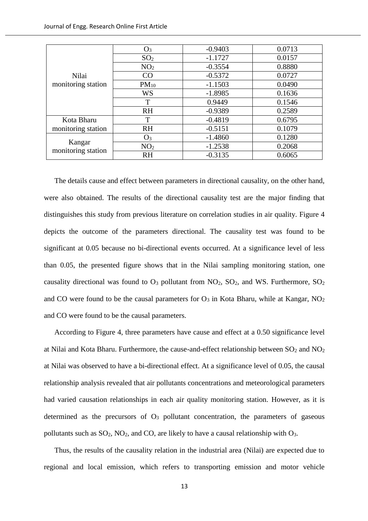| Nilai<br>monitoring station  | $O_3$           | $-0.9403$ | 0.0713 |
|------------------------------|-----------------|-----------|--------|
|                              | SO <sub>2</sub> | $-1.1727$ | 0.0157 |
|                              | NO <sub>2</sub> | $-0.3554$ | 0.8880 |
|                              | CO              | $-0.5372$ | 0.0727 |
|                              | $PM_{10}$       | $-1.1503$ | 0.0490 |
|                              | <b>WS</b>       | $-1.8985$ | 0.1636 |
|                              | T               | 0.9449    | 0.1546 |
|                              | <b>RH</b>       | $-0.9389$ | 0.2589 |
| Kota Bharu                   | T               | $-0.4819$ | 0.6795 |
| monitoring station           | <b>RH</b>       | $-0.5151$ | 0.1079 |
| Kangar<br>monitoring station | $O_3$           | $-1.4860$ | 0.1280 |
|                              | NO <sub>2</sub> | $-1.2538$ | 0.2068 |
|                              | <b>RH</b>       | $-0.3135$ | 0.6065 |

The details cause and effect between parameters in directional causality, on the other hand, were also obtained. The results of the directional causality test are the major finding that distinguishes this study from previous literature on correlation studies in air quality. Figure 4 depicts the outcome of the parameters directional. The causality test was found to be significant at 0.05 because no bi-directional events occurred. At a significance level of less than 0.05, the presented figure shows that in the Nilai sampling monitoring station, one causality directional was found to  $O_3$  pollutant from  $NO_2$ ,  $SO_2$ , and WS. Furthermore,  $SO_2$ and CO were found to be the causal parameters for  $O_3$  in Kota Bharu, while at Kangar,  $NO_2$ and CO were found to be the causal parameters.

According to Figure 4, three parameters have cause and effect at a 0.50 significance level at Nilai and Kota Bharu. Furthermore, the cause-and-effect relationship between  $SO_2$  and  $NO_2$ at Nilai was observed to have a bi-directional effect. At a significance level of 0.05, the causal relationship analysis revealed that air pollutants concentrations and meteorological parameters had varied causation relationships in each air quality monitoring station. However, as it is determined as the precursors of  $O_3$  pollutant concentration, the parameters of gaseous pollutants such as  $SO_2$ ,  $NO_2$ , and  $CO$ , are likely to have a causal relationship with  $O_3$ .

Thus, the results of the causality relation in the industrial area (Nilai) are expected due to regional and local emission, which refers to transporting emission and motor vehicle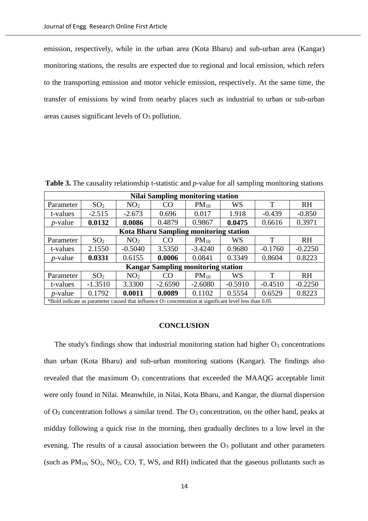emission, respectively, while in the urban area (Kota Bharu) and sub-urban area (Kangar) monitoring stations, the results are expected due to regional and local emission, which refers to the transporting emission and motor vehicle emission, respectively. At the same time, the transfer of emissions by wind from nearby places such as industrial to urban or sub-urban areas causes significant levels of  $O_3$  pollution.

**Nilai Sampling monitoring station** Parameter  $SO_2$  NO<sub>2</sub> CO PM<sub>10</sub> WS T RH t-values | -2.515 | -2.673 | 0.696 | 0.017 | 1.918 | -0.439 | -0.850 *p*-value **0.0132 0.0086** 0.4879 0.9867 **0.0475** 0.6616 0.3971 **Kota Bharu Sampling monitoring station** Parameter SO<sup>2</sup> NO<sup>2</sup> CO PM<sup>10</sup> WS T RH t-values | 2.1550 | -0.5040 | 3.5350 | -3.4240 | 0.9680 | -0.1760 | -0.2250 *p*-value **0.0331** 0.6155 **0.0006** 0.0841 0.3349 0.8604 0.8223 **Kangar Sampling monitoring station** Parameter SO<sup>2</sup> NO<sup>2</sup> CO PM<sup>10</sup> WS T RH t-values | -1.3510 | 3.3300 | -2.6590 | -2.6080 | -0.5910 | -0.4510 | -0.2250 *p*-value 0.1792 **0.0011 0.0089** 0.1102 0.5554 0.6529 0.8223 \*Bold indicate as parameter caused that influence O<sup>3</sup> concentration at significant level less than 0.05

**Table 3.** The causality relationship t-statistic and *p*-value for all sampling monitoring stations

#### **CONCLUSION**

The study's findings show that industrial monitoring station had higher  $O_3$  concentrations than urban (Kota Bharu) and sub-urban monitoring stations (Kangar). The findings also revealed that the maximum  $O_3$  concentrations that exceeded the MAAQG acceptable limit were only found in Nilai. Meanwhile, in Nilai, Kota Bharu, and Kangar, the diurnal dispersion of  $O_3$  concentration follows a similar trend. The  $O_3$  concentration, on the other hand, peaks at midday following a quick rise in the morning, then gradually declines to a low level in the evening. The results of a causal association between the  $O<sub>3</sub>$  pollutant and other parameters (such as  $PM_{10}$ ,  $SO_2$ ,  $NO_2$ ,  $CO$ ,  $T$ ,  $WS$ , and  $RH$ ) indicated that the gaseous pollutants such as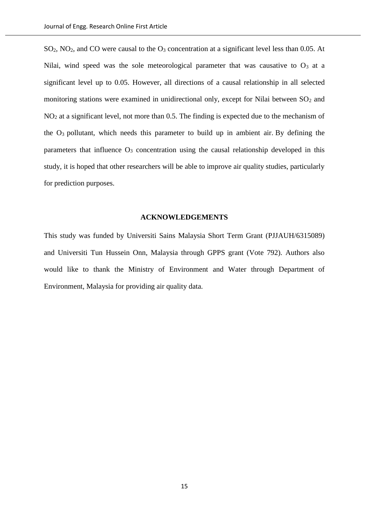SO<sub>2</sub>, NO<sub>2</sub>, and CO were causal to the O<sub>3</sub> concentration at a significant level less than 0.05. At Nilai, wind speed was the sole meteorological parameter that was causative to  $O_3$  at a significant level up to 0.05. However, all directions of a causal relationship in all selected monitoring stations were examined in unidirectional only, except for Nilai between  $SO<sub>2</sub>$  and NO<sup>2</sup> at a significant level, not more than 0.5. The finding is expected due to the mechanism of the  $O_3$  pollutant, which needs this parameter to build up in ambient air. By defining the parameters that influence  $O_3$  concentration using the causal relationship developed in this study, it is hoped that other researchers will be able to improve air quality studies, particularly for prediction purposes.

## **ACKNOWLEDGEMENTS**

This study was funded by Universiti Sains Malaysia Short Term Grant (PJJAUH/6315089) and Universiti Tun Hussein Onn, Malaysia through GPPS grant (Vote 792). Authors also would like to thank the Ministry of Environment and Water through Department of Environment, Malaysia for providing air quality data.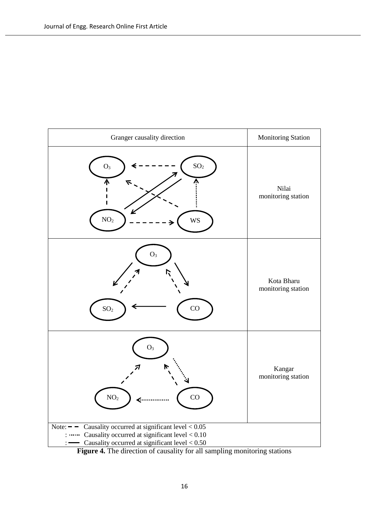

**Figure 4.** The direction of causality for all sampling monitoring stations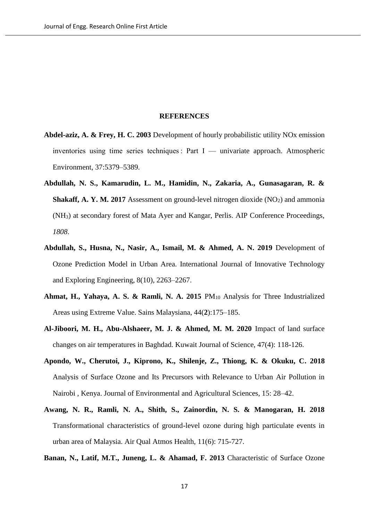#### **REFERENCES**

- **Abdel-aziz, A. & Frey, H. C. 2003** Development of hourly probabilistic utility NOx emission inventories using time series techniques : Part I — univariate approach. Atmospheric Environment, 37:5379–5389.
- **Abdullah, N. S., Kamarudin, L. M., Hamidin, N., Zakaria, A., Gunasagaran, R. & Shakaff, A. Y. M. 2017** Assessment on ground-level nitrogen dioxide  $(NO<sub>2</sub>)$  and ammonia (NH3) at secondary forest of Mata Ayer and Kangar, Perlis. AIP Conference Proceedings, *1808*.
- **Abdullah, S., Husna, N., Nasir, A., Ismail, M. & Ahmed, A. N. 2019** Development of Ozone Prediction Model in Urban Area. International Journal of Innovative Technology and Exploring Engineering, 8(10), 2263–2267.
- **Ahmat, H., Yahaya, A. S. & Ramli, N. A. 2015** PM<sup>10</sup> Analysis for Three Industrialized Areas using Extreme Value. Sains Malaysiana, 44(**2**):175–185.
- **Al-Jiboori, M. H., Abu-Alshaeer, M. J. & Ahmed, M. M. 2020** Impact of land surface changes on air temperatures in Baghdad. Kuwait Journal of Science, 47(4): 118-126.
- **Apondo, W., Cherutoi, J., Kiprono, K., Shilenje, Z., Thiong, K. & Okuku, C. 2018** Analysis of Surface Ozone and Its Precursors with Relevance to Urban Air Pollution in Nairobi , Kenya. Journal of Environmental and Agricultural Sciences, 15: 28–42.
- **Awang, N. R., Ramli, N. A., Shith, S., Zainordin, N. S. & Manogaran, H. 2018** Transformational characteristics of ground-level ozone during high particulate events in urban area of Malaysia. Air Qual Atmos Health, 11(6): 715-727.

**Banan, N., Latif, M.T., Juneng, L. & Ahamad, F. 2013** Characteristic of Surface Ozone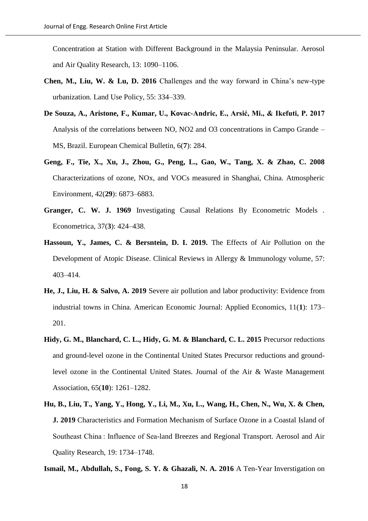Concentration at Station with Different Background in the Malaysia Peninsular. Aerosol and Air Quality Research, 13: 1090–1106.

- **Chen, M., Liu, W. & Lu, D. 2016** Challenges and the way forward in China's new-type urbanization. Land Use Policy, 55: 334–339.
- **De Souza, A., Aristone, F., Kumar, U., Kovac-Andric, E., Arsić, Mi., & Ikefuti, P. 2017**  Analysis of the correlations between NO, NO2 and O3 concentrations in Campo Grande – MS, Brazil. European Chemical Bulletin, 6(**7**): 284.
- **Geng, F., Tie, X., Xu, J., Zhou, G., Peng, L., Gao, W., Tang, X. & Zhao, C. 2008** Characterizations of ozone, NOx, and VOCs measured in Shanghai, China. Atmospheric Environment, 42(**29**): 6873–6883.
- **Granger, C. W. J. 1969** Investigating Causal Relations By Econometric Models . Econometrica, 37(**3**): 424–438.
- **Hassoun, Y., James, C. & Bersntein, D. I. 2019.** The Effects of Air Pollution on the Development of Atopic Disease. Clinical Reviews in Allergy & Immunology volume, 57: 403–414.
- **He, J., Liu, H. & Salvo, A. 2019** Severe air pollution and labor productivity: Evidence from industrial towns in China. American Economic Journal: Applied Economics, 11(**1**): 173– 201.
- **Hidy, G. M., Blanchard, C. L., Hidy, G. M. & Blanchard, C. L. 2015** Precursor reductions and ground-level ozone in the Continental United States Precursor reductions and groundlevel ozone in the Continental United States. Journal of the Air & Waste Management Association, 65(**10**): 1261–1282.
- **Hu, B., Liu, T., Yang, Y., Hong, Y., Li, M., Xu, L., Wang, H., Chen, N., Wu, X. & Chen, J. 2019** Characteristics and Formation Mechanism of Surface Ozone in a Coastal Island of Southeast China : Influence of Sea-land Breezes and Regional Transport. Aerosol and Air Quality Research, 19: 1734–1748.
- **Ismail, M., Abdullah, S., Fong, S. Y. & Ghazali, N. A. 2016** A Ten-Year Inverstigation on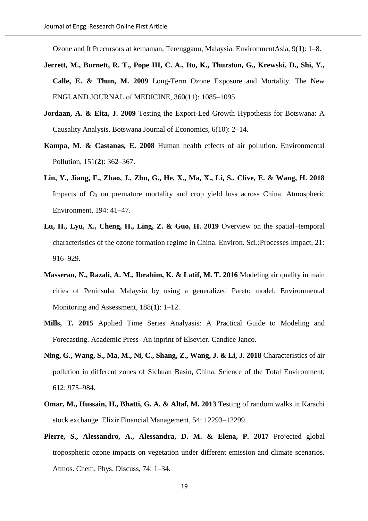Ozone and It Precursors at kemaman, Terengganu, Malaysia. EnvironmentAsia, 9(**1**): 1–8.

- **Jerrett, M., Burnett, R. T., Pope III, C. A., Ito, K., Thurston, G., Krewski, D., Shi, Y., Calle, E. & Thun, M. 2009** Long-Term Ozone Exposure and Mortality. The New ENGLAND JOURNAL of MEDICINE, 360(11): 1085–1095.
- **Jordaan, A. & Eita, J. 2009** Testing the Export-Led Growth Hypothesis for Botswana: A Causality Analysis. Botswana Journal of Economics, 6(10): 2–14.
- **Kampa, M. & Castanas, E. 2008** Human health effects of air pollution. Environmental Pollution, 151(**2**): 362–367.
- **Lin, Y., Jiang, F., Zhao, J., Zhu, G., He, X., Ma, X., Li, S., Clive, E. & Wang, H. 2018** Impacts of  $O_3$  on premature mortality and crop yield loss across China. Atmospheric Environment, 194: 41–47.
- **Lu, H., Lyu, X., Cheng, H., Ling, Z. & Guo, H. 2019** Overview on the spatial–temporal characteristics of the ozone formation regime in China. Environ. Sci.:Processes Impact, 21: 916–929.
- **Masseran, N., Razali, A. M., Ibrahim, K. & Latif, M. T. 2016** Modeling air quality in main cities of Peninsular Malaysia by using a generalized Pareto model. Environmental Monitoring and Assessment, 188(**1**): 1–12.
- **Mills, T. 2015** Applied Time Series Analyasis: A Practical Guide to Modeling and Forecasting. Academic Press- An inprint of Elsevier. Candice Janco.
- **Ning, G., Wang, S., Ma, M., Ni, C., Shang, Z., Wang, J. & Li, J. 2018** Characteristics of air pollution in different zones of Sichuan Basin, China. Science of the Total Environment, 612: 975–984.
- **Omar, M., Hussain, H., Bhatti, G. A. & Altaf, M. 2013** Testing of random walks in Karachi stock exchange. Elixir Financial Management, 54: 12293–12299.
- Pierre, S., Alessandro, A., Alessandra, D. M. & Elena, P. 2017 Projected global tropospheric ozone impacts on vegetation under different emission and climate scenarios. Atmos. Chem. Phys. Discuss, 74: 1–34.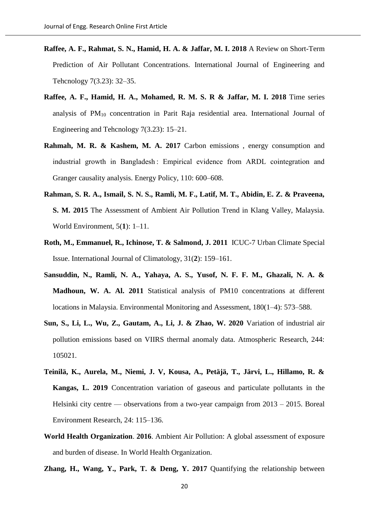- **Raffee, A. F., Rahmat, S. N., Hamid, H. A. & Jaffar, M. I. 2018** A Review on Short-Term Prediction of Air Pollutant Concentrations. International Journal of Engineering and Tehcnology 7(3.23): 32–35.
- **Raffee, A. F., Hamid, H. A., Mohamed, R. M. S. R & Jaffar, M. I. 2018** Time series analysis of  $PM_{10}$  concentration in Parit Raja residential area. International Journal of Engineering and Tehcnology 7(3.23): 15–21.
- **Rahmah, M. R. & Kashem, M. A. 2017** Carbon emissions , energy consumption and industrial growth in Bangladesh : Empirical evidence from ARDL cointegration and Granger causality analysis. Energy Policy, 110: 600–608.
- **Rahman, S. R. A., Ismail, S. N. S., Ramli, M. F., Latif, M. T., Abidin, E. Z. & Praveena, S. M. 2015** The Assessment of Ambient Air Pollution Trend in Klang Valley, Malaysia. World Environment, 5(**1**): 1–11.
- **Roth, M., Emmanuel, R., Ichinose, T. & Salmond, J. 2011** ICUC-7 Urban Climate Special Issue. International Journal of Climatology, 31(**2**): 159–161.
- **Sansuddin, N., Ramli, N. A., Yahaya, A. S., Yusof, N. F. F. M., Ghazali, N. A. & Madhoun, W. A. Al. 2011** Statistical analysis of PM10 concentrations at different locations in Malaysia. Environmental Monitoring and Assessment, 180(1–4): 573–588.
- **Sun, S., Li, L., Wu, Z., Gautam, A., Li, J. & Zhao, W. 2020** Variation of industrial air pollution emissions based on VIIRS thermal anomaly data. Atmospheric Research, 244: 105021.
- **Teinilä, K., Aurela, M., Niemi, J. V, Kousa, A., Petäjä, T., Järvi, L., Hillamo, R. & Kangas, L. 2019** Concentration variation of gaseous and particulate pollutants in the Helsinki city centre — observations from a two-year campaign from 2013 – 2015. Boreal Environment Research, 24: 115–136.
- **World Health Organization**. **2016**. Ambient Air Pollution: A global assessment of exposure and burden of disease. In World Health Organization.
- **Zhang, H., Wang, Y., Park, T. & Deng, Y. 2017** Quantifying the relationship between